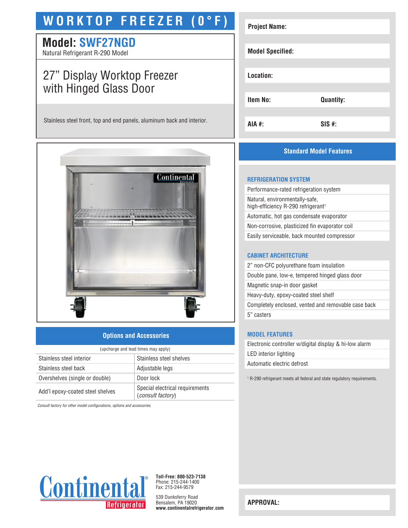# **WORKTOP FREEZER (0°F)**

### **Model: SWF27NGD**

Natural Refrigerant R-290 Model

## 27" Display Worktop Freezer with Hinged Glass Door

Stainless steel front, top and end panels, aluminum back and interior.



#### **Options and Accessories**

| (upcharge and lead times may apply) |                                                      |  |
|-------------------------------------|------------------------------------------------------|--|
| Stainless steel interior            | Stainless steel shelves                              |  |
| Stainless steel back                | Adjustable legs                                      |  |
| Overshelves (single or double)      | Door lock                                            |  |
| Add'l epoxy-coated steel shelves    | Special electrical requirements<br>(consult factory) |  |

*Consult factory for other model configurations, options and accessories.*



### **Standard Model Features**

#### **REFRIGERATION SYSTEM**

Performance-rated refrigeration system Natural, environmentally-safe, high-efficiency R-290 refrigerant<sup>1</sup> Automatic, hot gas condensate evaporator Non-corrosive, plasticized fin evaporator coil Easily serviceable, back mounted compressor

#### **CABINET ARCHITECTURE**

2" non-CFC polyurethane foam insulation Double pane, low-e, tempered hinged glass door Magnetic snap-in door gasket Heavy-duty, epoxy-coated steel shelf Completely enclosed, vented and removable case back 5" casters

#### **MODEL FEATURES**

Electronic controller w/digital display & hi-low alarm LED interior lighting Automatic electric defrost

1 R-290 refrigerant meets all federal and state regulatory requirements.



**Toll-Free: 800-523-7138** Phone: 215-244-1400 Fax: 215-244-9579

539 Dunksferry Road Bensalem, PA 19020 **www.continentalrefrigerator.com** 

**APPROVAL:**